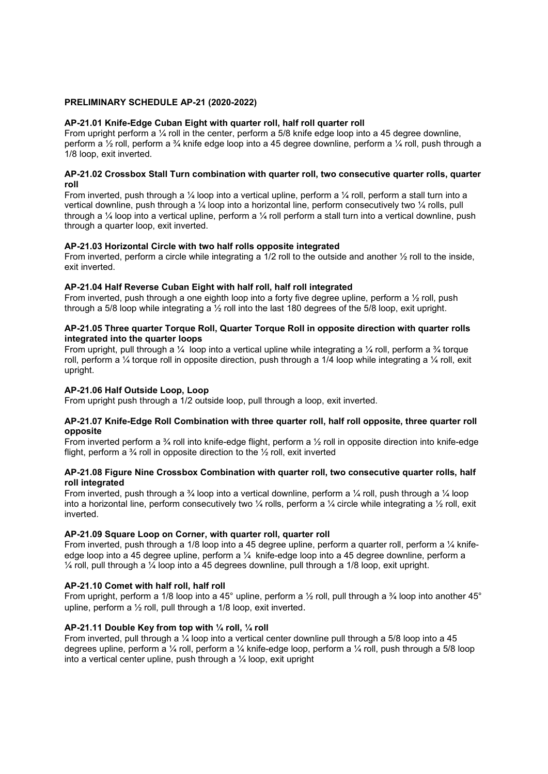### PRELIMINARY SCHEDULE AP-21 (2020-2022)

### AP-21.01 Knife-Edge Cuban Eight with quarter roll, half roll quarter roll

From upright perform a  $\frac{1}{4}$  roll in the center, perform a 5/8 knife edge loop into a 45 degree downline, perform a ½ roll, perform a ¾ knife edge loop into a 45 degree downline, perform a ¼ roll, push through a 1/8 loop, exit inverted.

### AP-21.02 Crossbox Stall Turn combination with quarter roll, two consecutive quarter rolls, quarter roll

From inverted, push through a  $\frac{1}{4}$  loop into a vertical upline, perform a  $\frac{1}{4}$  roll, perform a stall turn into a vertical downline, push through a ¼ loop into a horizontal line, perform consecutively two ¼ rolls, pull through a ¼ loop into a vertical upline, perform a ¼ roll perform a stall turn into a vertical downline, push through a quarter loop, exit inverted.

## AP-21.03 Horizontal Circle with two half rolls opposite integrated

From inverted, perform a circle while integrating a 1/2 roll to the outside and another 1/2 roll to the inside, exit inverted.

### AP-21.04 Half Reverse Cuban Eight with half roll, half roll integrated

From inverted, push through a one eighth loop into a forty five degree upline, perform a ½ roll, push through a 5/8 loop while integrating a ½ roll into the last 180 degrees of the 5/8 loop, exit upright.

### AP-21.05 Three quarter Torque Roll, Quarter Torque Roll in opposite direction with quarter rolls integrated into the quarter loops

From upright, pull through a  $\frac{1}{4}$  loop into a vertical upline while integrating a  $\frac{1}{4}$  roll, perform a  $\frac{3}{4}$  torque roll, perform a ¼ torque roll in opposite direction, push through a 1/4 loop while integrating a ¼ roll, exit upright.

## AP-21.06 Half Outside Loop, Loop

From upright push through a 1/2 outside loop, pull through a loop, exit inverted.

### AP-21.07 Knife-Edge Roll Combination with three quarter roll, half roll opposite, three quarter roll opposite

From inverted perform a  $\frac{3}{4}$  roll into knife-edge flight, perform a  $\frac{1}{2}$  roll in opposite direction into knife-edge flight, perform a  $\frac{3}{4}$  roll in opposite direction to the  $\frac{1}{2}$  roll, exit inverted

### AP-21.08 Figure Nine Crossbox Combination with quarter roll, two consecutive quarter rolls, half roll integrated

From inverted, push through a  $\frac{3}{4}$  loop into a vertical downline, perform a  $\frac{1}{4}$  roll, push through a  $\frac{1}{4}$  loop into a horizontal line, perform consecutively two  $\frac{1}{4}$  rolls, perform a  $\frac{1}{4}$  circle while integrating a  $\frac{1}{2}$  roll, exit inverted.

### AP-21.09 Square Loop on Corner, with quarter roll, quarter roll

From inverted, push through a 1/8 loop into a 45 degree upline, perform a quarter roll, perform a  $\frac{1}{4}$  knifeedge loop into a 45 degree upline, perform a ¼ knife-edge loop into a 45 degree downline, perform a  $\frac{1}{4}$  roll, pull through a  $\frac{1}{4}$  loop into a 45 degrees downline, pull through a 1/8 loop, exit upright.

# AP-21.10 Comet with half roll, half roll

From upright, perform a 1/8 loop into a 45° upline, perform a 1/2 roll, pull through a 3/4 loop into another 45° upline, perform a ½ roll, pull through a 1/8 loop, exit inverted.

## AP-21.11 Double Key from top with ¼ roll, ¼ roll

From inverted, pull through a ¼ loop into a vertical center downline pull through a 5/8 loop into a 45 degrees upline, perform a ¼ roll, perform a ¼ knife-edge loop, perform a ¼ roll, push through a 5/8 loop into a vertical center upline, push through a ¼ loop, exit upright